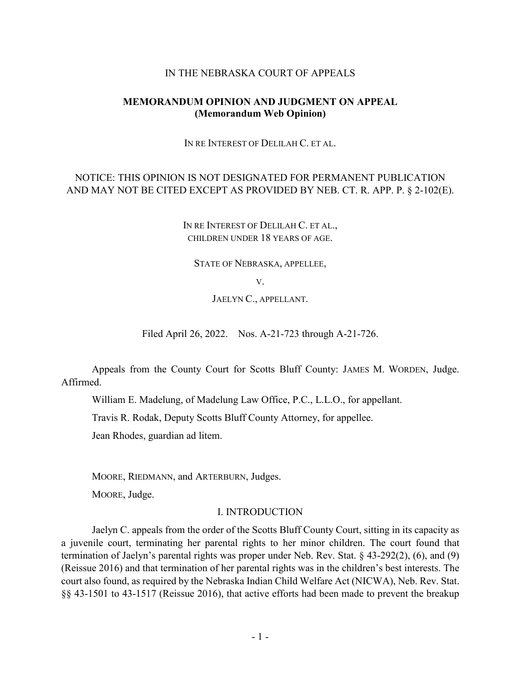### IN THE NEBRASKA COURT OF APPEALS

# **MEMORANDUM OPINION AND JUDGMENT ON APPEAL (Memorandum Web Opinion)**

IN RE INTEREST OF DELILAH C. ET AL.

# NOTICE: THIS OPINION IS NOT DESIGNATED FOR PERMANENT PUBLICATION AND MAY NOT BE CITED EXCEPT AS PROVIDED BY NEB. CT. R. APP. P. § 2-102(E).

IN RE INTEREST OF DELILAH C. ET AL., CHILDREN UNDER 18 YEARS OF AGE.

STATE OF NEBRASKA, APPELLEE,

V.

JAELYN C., APPELLANT.

Filed April 26, 2022. Nos. A-21-723 through A-21-726.

Appeals from the County Court for Scotts Bluff County: JAMES M. WORDEN, Judge. Affirmed.

William E. Madelung, of Madelung Law Office, P.C., L.L.O., for appellant.

Travis R. Rodak, Deputy Scotts Bluff County Attorney, for appellee.

Jean Rhodes, guardian ad litem.

MOORE, RIEDMANN, and ARTERBURN, Judges.

MOORE, Judge.

### I. INTRODUCTION

Jaelyn C. appeals from the order of the Scotts Bluff County Court, sitting in its capacity as a juvenile court, terminating her parental rights to her minor children. The court found that termination of Jaelyn's parental rights was proper under Neb. Rev. Stat. § 43-292(2), (6), and (9) (Reissue 2016) and that termination of her parental rights was in the children's best interests. The court also found, as required by the Nebraska Indian Child Welfare Act (NICWA), Neb. Rev. Stat. §§ 43-1501 to 43-1517 (Reissue 2016), that active efforts had been made to prevent the breakup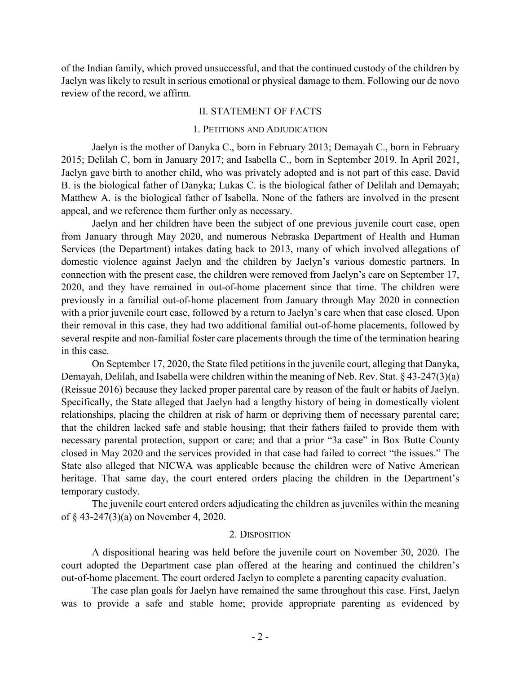of the Indian family, which proved unsuccessful, and that the continued custody of the children by Jaelyn was likely to result in serious emotional or physical damage to them. Following our de novo review of the record, we affirm.

### II. STATEMENT OF FACTS

### 1. PETITIONS AND ADJUDICATION

Jaelyn is the mother of Danyka C., born in February 2013; Demayah C., born in February 2015; Delilah C, born in January 2017; and Isabella C., born in September 2019. In April 2021, Jaelyn gave birth to another child, who was privately adopted and is not part of this case. David B. is the biological father of Danyka; Lukas C. is the biological father of Delilah and Demayah; Matthew A. is the biological father of Isabella. None of the fathers are involved in the present appeal, and we reference them further only as necessary.

Jaelyn and her children have been the subject of one previous juvenile court case, open from January through May 2020, and numerous Nebraska Department of Health and Human Services (the Department) intakes dating back to 2013, many of which involved allegations of domestic violence against Jaelyn and the children by Jaelyn's various domestic partners. In connection with the present case, the children were removed from Jaelyn's care on September 17, 2020, and they have remained in out-of-home placement since that time. The children were previously in a familial out-of-home placement from January through May 2020 in connection with a prior juvenile court case, followed by a return to Jaelyn's care when that case closed. Upon their removal in this case, they had two additional familial out-of-home placements, followed by several respite and non-familial foster care placements through the time of the termination hearing in this case.

On September 17, 2020, the State filed petitions in the juvenile court, alleging that Danyka, Demayah, Delilah, and Isabella were children within the meaning of Neb. Rev. Stat. § 43-247(3)(a) (Reissue 2016) because they lacked proper parental care by reason of the fault or habits of Jaelyn. Specifically, the State alleged that Jaelyn had a lengthy history of being in domestically violent relationships, placing the children at risk of harm or depriving them of necessary parental care; that the children lacked safe and stable housing; that their fathers failed to provide them with necessary parental protection, support or care; and that a prior "3a case" in Box Butte County closed in May 2020 and the services provided in that case had failed to correct "the issues." The State also alleged that NICWA was applicable because the children were of Native American heritage. That same day, the court entered orders placing the children in the Department's temporary custody.

The juvenile court entered orders adjudicating the children as juveniles within the meaning of § 43-247(3)(a) on November 4, 2020.

## 2. DISPOSITION

A dispositional hearing was held before the juvenile court on November 30, 2020. The court adopted the Department case plan offered at the hearing and continued the children's out-of-home placement. The court ordered Jaelyn to complete a parenting capacity evaluation.

The case plan goals for Jaelyn have remained the same throughout this case. First, Jaelyn was to provide a safe and stable home; provide appropriate parenting as evidenced by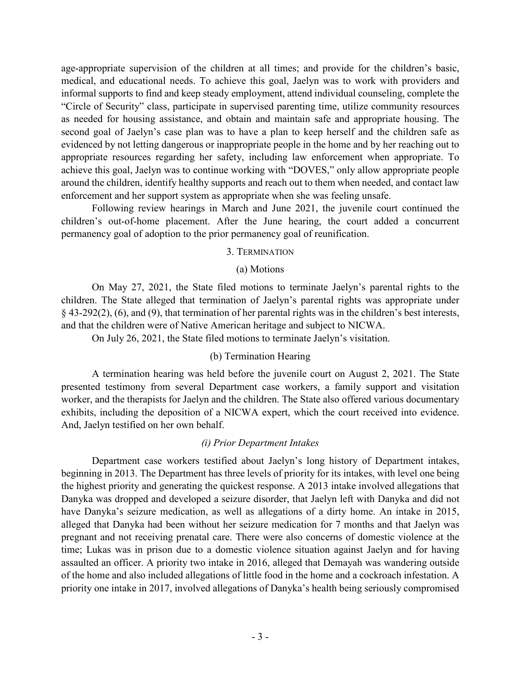age-appropriate supervision of the children at all times; and provide for the children's basic, medical, and educational needs. To achieve this goal, Jaelyn was to work with providers and informal supports to find and keep steady employment, attend individual counseling, complete the "Circle of Security" class, participate in supervised parenting time, utilize community resources as needed for housing assistance, and obtain and maintain safe and appropriate housing. The second goal of Jaelyn's case plan was to have a plan to keep herself and the children safe as evidenced by not letting dangerous or inappropriate people in the home and by her reaching out to appropriate resources regarding her safety, including law enforcement when appropriate. To achieve this goal, Jaelyn was to continue working with "DOVES," only allow appropriate people around the children, identify healthy supports and reach out to them when needed, and contact law enforcement and her support system as appropriate when she was feeling unsafe.

Following review hearings in March and June 2021, the juvenile court continued the children's out-of-home placement. After the June hearing, the court added a concurrent permanency goal of adoption to the prior permanency goal of reunification.

### 3. TERMINATION

### (a) Motions

On May 27, 2021, the State filed motions to terminate Jaelyn's parental rights to the children. The State alleged that termination of Jaelyn's parental rights was appropriate under § 43-292(2), (6), and (9), that termination of her parental rights was in the children's best interests, and that the children were of Native American heritage and subject to NICWA.

On July 26, 2021, the State filed motions to terminate Jaelyn's visitation.

# (b) Termination Hearing

A termination hearing was held before the juvenile court on August 2, 2021. The State presented testimony from several Department case workers, a family support and visitation worker, and the therapists for Jaelyn and the children. The State also offered various documentary exhibits, including the deposition of a NICWA expert, which the court received into evidence. And, Jaelyn testified on her own behalf.

### *(i) Prior Department Intakes*

Department case workers testified about Jaelyn's long history of Department intakes, beginning in 2013. The Department has three levels of priority for its intakes, with level one being the highest priority and generating the quickest response. A 2013 intake involved allegations that Danyka was dropped and developed a seizure disorder, that Jaelyn left with Danyka and did not have Danyka's seizure medication, as well as allegations of a dirty home. An intake in 2015, alleged that Danyka had been without her seizure medication for 7 months and that Jaelyn was pregnant and not receiving prenatal care. There were also concerns of domestic violence at the time; Lukas was in prison due to a domestic violence situation against Jaelyn and for having assaulted an officer. A priority two intake in 2016, alleged that Demayah was wandering outside of the home and also included allegations of little food in the home and a cockroach infestation. A priority one intake in 2017, involved allegations of Danyka's health being seriously compromised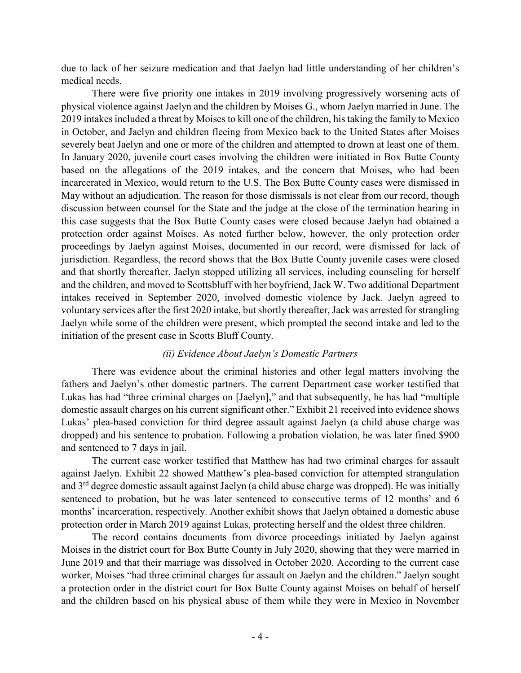due to lack of her seizure medication and that Jaelyn had little understanding of her children's medical needs.

There were five priority one intakes in 2019 involving progressively worsening acts of physical violence against Jaelyn and the children by Moises G., whom Jaelyn married in June. The 2019 intakes included a threat by Moises to kill one of the children, his taking the family to Mexico in October, and Jaelyn and children fleeing from Mexico back to the United States after Moises severely beat Jaelyn and one or more of the children and attempted to drown at least one of them. In January 2020, juvenile court cases involving the children were initiated in Box Butte County based on the allegations of the 2019 intakes, and the concern that Moises, who had been incarcerated in Mexico, would return to the U.S. The Box Butte County cases were dismissed in May without an adjudication. The reason for those dismissals is not clear from our record, though discussion between counsel for the State and the judge at the close of the termination hearing in this case suggests that the Box Butte County cases were closed because Jaelyn had obtained a protection order against Moises. As noted further below, however, the only protection order proceedings by Jaelyn against Moises, documented in our record, were dismissed for lack of jurisdiction. Regardless, the record shows that the Box Butte County juvenile cases were closed and that shortly thereafter, Jaelyn stopped utilizing all services, including counseling for herself and the children, and moved to Scottsbluff with her boyfriend, Jack W. Two additional Department intakes received in September 2020, involved domestic violence by Jack. Jaelyn agreed to voluntary services after the first 2020 intake, but shortly thereafter, Jack was arrested for strangling Jaelyn while some of the children were present, which prompted the second intake and led to the initiation of the present case in Scotts Bluff County.

# *(ii) Evidence About Jaelyn's Domestic Partners*

There was evidence about the criminal histories and other legal matters involving the fathers and Jaelyn's other domestic partners. The current Department case worker testified that Lukas has had "three criminal charges on [Jaelyn]," and that subsequently, he has had "multiple domestic assault charges on his current significant other." Exhibit 21 received into evidence shows Lukas' plea-based conviction for third degree assault against Jaelyn (a child abuse charge was dropped) and his sentence to probation. Following a probation violation, he was later fined \$900 and sentenced to 7 days in jail.

The current case worker testified that Matthew has had two criminal charges for assault against Jaelyn. Exhibit 22 showed Matthew's plea-based conviction for attempted strangulation and 3<sup>rd</sup> degree domestic assault against Jaelyn (a child abuse charge was dropped). He was initially sentenced to probation, but he was later sentenced to consecutive terms of 12 months' and 6 months' incarceration, respectively. Another exhibit shows that Jaelyn obtained a domestic abuse protection order in March 2019 against Lukas, protecting herself and the oldest three children.

The record contains documents from divorce proceedings initiated by Jaelyn against Moises in the district court for Box Butte County in July 2020, showing that they were married in June 2019 and that their marriage was dissolved in October 2020. According to the current case worker, Moises "had three criminal charges for assault on Jaelyn and the children." Jaelyn sought a protection order in the district court for Box Butte County against Moises on behalf of herself and the children based on his physical abuse of them while they were in Mexico in November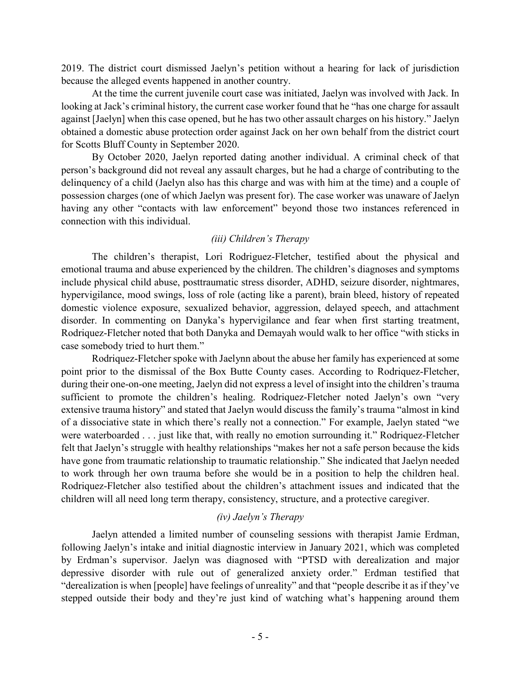2019. The district court dismissed Jaelyn's petition without a hearing for lack of jurisdiction because the alleged events happened in another country.

At the time the current juvenile court case was initiated, Jaelyn was involved with Jack. In looking at Jack's criminal history, the current case worker found that he "has one charge for assault against [Jaelyn] when this case opened, but he has two other assault charges on his history." Jaelyn obtained a domestic abuse protection order against Jack on her own behalf from the district court for Scotts Bluff County in September 2020.

By October 2020, Jaelyn reported dating another individual. A criminal check of that person's background did not reveal any assault charges, but he had a charge of contributing to the delinquency of a child (Jaelyn also has this charge and was with him at the time) and a couple of possession charges (one of which Jaelyn was present for). The case worker was unaware of Jaelyn having any other "contacts with law enforcement" beyond those two instances referenced in connection with this individual.

# *(iii) Children's Therapy*

The children's therapist, Lori Rodriguez-Fletcher, testified about the physical and emotional trauma and abuse experienced by the children. The children's diagnoses and symptoms include physical child abuse, posttraumatic stress disorder, ADHD, seizure disorder, nightmares, hypervigilance, mood swings, loss of role (acting like a parent), brain bleed, history of repeated domestic violence exposure, sexualized behavior, aggression, delayed speech, and attachment disorder. In commenting on Danyka's hypervigilance and fear when first starting treatment, Rodriquez-Fletcher noted that both Danyka and Demayah would walk to her office "with sticks in case somebody tried to hurt them."

Rodriquez-Fletcher spoke with Jaelynn about the abuse her family has experienced at some point prior to the dismissal of the Box Butte County cases. According to Rodriquez-Fletcher, during their one-on-one meeting, Jaelyn did not express a level of insight into the children's trauma sufficient to promote the children's healing. Rodriquez-Fletcher noted Jaelyn's own "very extensive trauma history" and stated that Jaelyn would discuss the family's trauma "almost in kind of a dissociative state in which there's really not a connection." For example, Jaelyn stated "we were waterboarded . . . just like that, with really no emotion surrounding it." Rodriquez-Fletcher felt that Jaelyn's struggle with healthy relationships "makes her not a safe person because the kids have gone from traumatic relationship to traumatic relationship." She indicated that Jaelyn needed to work through her own trauma before she would be in a position to help the children heal. Rodriquez-Fletcher also testified about the children's attachment issues and indicated that the children will all need long term therapy, consistency, structure, and a protective caregiver.

# *(iv) Jaelyn's Therapy*

Jaelyn attended a limited number of counseling sessions with therapist Jamie Erdman, following Jaelyn's intake and initial diagnostic interview in January 2021, which was completed by Erdman's supervisor. Jaelyn was diagnosed with "PTSD with derealization and major depressive disorder with rule out of generalized anxiety order." Erdman testified that "derealization is when [people] have feelings of unreality" and that "people describe it as if they've stepped outside their body and they're just kind of watching what's happening around them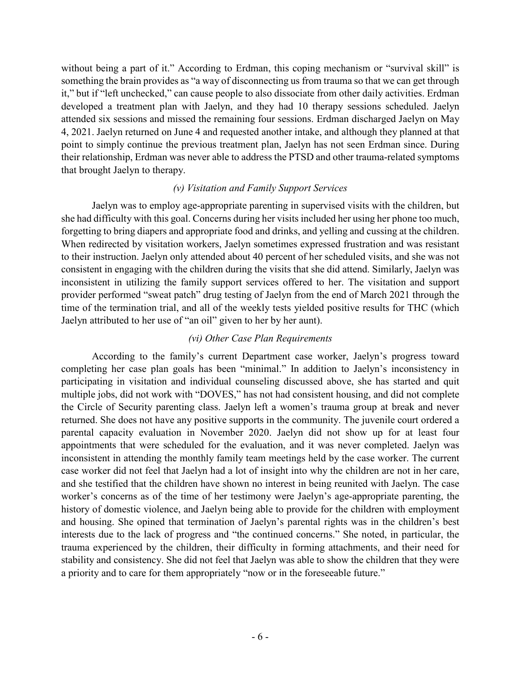without being a part of it." According to Erdman, this coping mechanism or "survival skill" is something the brain provides as "a way of disconnecting us from trauma so that we can get through it," but if "left unchecked," can cause people to also dissociate from other daily activities. Erdman developed a treatment plan with Jaelyn, and they had 10 therapy sessions scheduled. Jaelyn attended six sessions and missed the remaining four sessions. Erdman discharged Jaelyn on May 4, 2021. Jaelyn returned on June 4 and requested another intake, and although they planned at that point to simply continue the previous treatment plan, Jaelyn has not seen Erdman since. During their relationship, Erdman was never able to address the PTSD and other trauma-related symptoms that brought Jaelyn to therapy.

# *(v) Visitation and Family Support Services*

Jaelyn was to employ age-appropriate parenting in supervised visits with the children, but she had difficulty with this goal. Concerns during her visits included her using her phone too much, forgetting to bring diapers and appropriate food and drinks, and yelling and cussing at the children. When redirected by visitation workers, Jaelyn sometimes expressed frustration and was resistant to their instruction. Jaelyn only attended about 40 percent of her scheduled visits, and she was not consistent in engaging with the children during the visits that she did attend. Similarly, Jaelyn was inconsistent in utilizing the family support services offered to her. The visitation and support provider performed "sweat patch" drug testing of Jaelyn from the end of March 2021 through the time of the termination trial, and all of the weekly tests yielded positive results for THC (which Jaelyn attributed to her use of "an oil" given to her by her aunt).

# *(vi) Other Case Plan Requirements*

According to the family's current Department case worker, Jaelyn's progress toward completing her case plan goals has been "minimal." In addition to Jaelyn's inconsistency in participating in visitation and individual counseling discussed above, she has started and quit multiple jobs, did not work with "DOVES," has not had consistent housing, and did not complete the Circle of Security parenting class. Jaelyn left a women's trauma group at break and never returned. She does not have any positive supports in the community. The juvenile court ordered a parental capacity evaluation in November 2020. Jaelyn did not show up for at least four appointments that were scheduled for the evaluation, and it was never completed. Jaelyn was inconsistent in attending the monthly family team meetings held by the case worker. The current case worker did not feel that Jaelyn had a lot of insight into why the children are not in her care, and she testified that the children have shown no interest in being reunited with Jaelyn. The case worker's concerns as of the time of her testimony were Jaelyn's age-appropriate parenting, the history of domestic violence, and Jaelyn being able to provide for the children with employment and housing. She opined that termination of Jaelyn's parental rights was in the children's best interests due to the lack of progress and "the continued concerns." She noted, in particular, the trauma experienced by the children, their difficulty in forming attachments, and their need for stability and consistency. She did not feel that Jaelyn was able to show the children that they were a priority and to care for them appropriately "now or in the foreseeable future."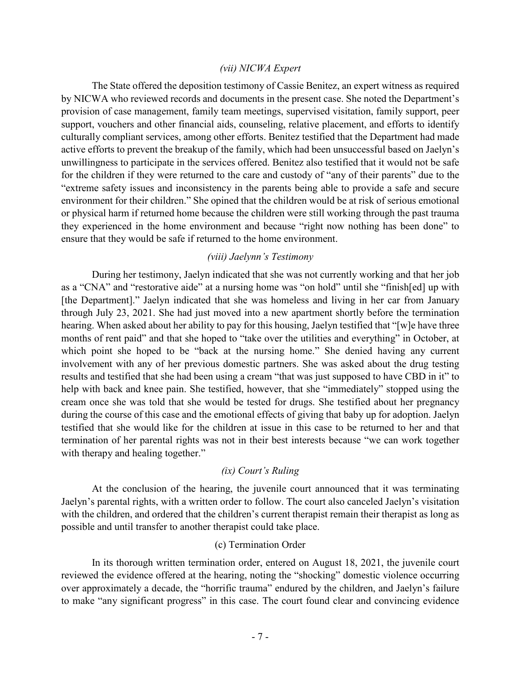### *(vii) NICWA Expert*

The State offered the deposition testimony of Cassie Benitez, an expert witness as required by NICWA who reviewed records and documents in the present case. She noted the Department's provision of case management, family team meetings, supervised visitation, family support, peer support, vouchers and other financial aids, counseling, relative placement, and efforts to identify culturally compliant services, among other efforts. Benitez testified that the Department had made active efforts to prevent the breakup of the family, which had been unsuccessful based on Jaelyn's unwillingness to participate in the services offered. Benitez also testified that it would not be safe for the children if they were returned to the care and custody of "any of their parents" due to the "extreme safety issues and inconsistency in the parents being able to provide a safe and secure environment for their children." She opined that the children would be at risk of serious emotional or physical harm if returned home because the children were still working through the past trauma they experienced in the home environment and because "right now nothing has been done" to ensure that they would be safe if returned to the home environment.

# *(viii) Jaelynn's Testimony*

During her testimony, Jaelyn indicated that she was not currently working and that her job as a "CNA" and "restorative aide" at a nursing home was "on hold" until she "finish[ed] up with [the Department]." Jaelyn indicated that she was homeless and living in her car from January through July 23, 2021. She had just moved into a new apartment shortly before the termination hearing. When asked about her ability to pay for this housing, Jaelyn testified that "[w]e have three months of rent paid" and that she hoped to "take over the utilities and everything" in October, at which point she hoped to be "back at the nursing home." She denied having any current involvement with any of her previous domestic partners. She was asked about the drug testing results and testified that she had been using a cream "that was just supposed to have CBD in it" to help with back and knee pain. She testified, however, that she "immediately" stopped using the cream once she was told that she would be tested for drugs. She testified about her pregnancy during the course of this case and the emotional effects of giving that baby up for adoption. Jaelyn testified that she would like for the children at issue in this case to be returned to her and that termination of her parental rights was not in their best interests because "we can work together with therapy and healing together."

### *(ix) Court's Ruling*

At the conclusion of the hearing, the juvenile court announced that it was terminating Jaelyn's parental rights, with a written order to follow. The court also canceled Jaelyn's visitation with the children, and ordered that the children's current therapist remain their therapist as long as possible and until transfer to another therapist could take place.

### (c) Termination Order

In its thorough written termination order, entered on August 18, 2021, the juvenile court reviewed the evidence offered at the hearing, noting the "shocking" domestic violence occurring over approximately a decade, the "horrific trauma" endured by the children, and Jaelyn's failure to make "any significant progress" in this case. The court found clear and convincing evidence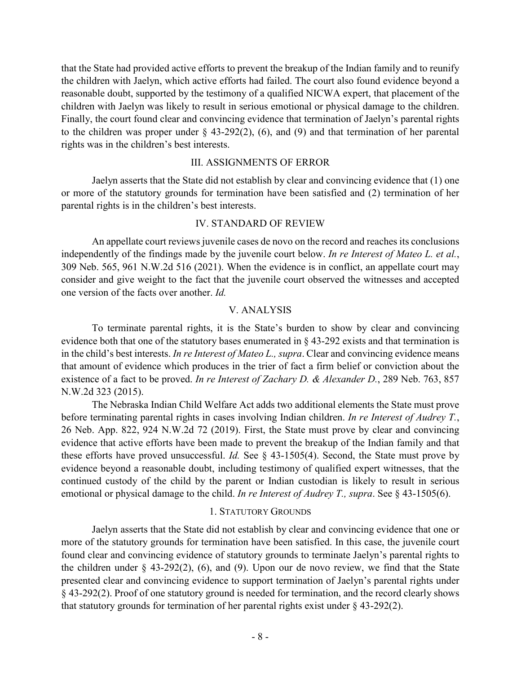that the State had provided active efforts to prevent the breakup of the Indian family and to reunify the children with Jaelyn, which active efforts had failed. The court also found evidence beyond a reasonable doubt, supported by the testimony of a qualified NICWA expert, that placement of the children with Jaelyn was likely to result in serious emotional or physical damage to the children. Finally, the court found clear and convincing evidence that termination of Jaelyn's parental rights to the children was proper under  $\S$  43-292(2), (6), and (9) and that termination of her parental rights was in the children's best interests.

# III. ASSIGNMENTS OF ERROR

Jaelyn asserts that the State did not establish by clear and convincing evidence that (1) one or more of the statutory grounds for termination have been satisfied and (2) termination of her parental rights is in the children's best interests.

## IV. STANDARD OF REVIEW

An appellate court reviews juvenile cases de novo on the record and reaches its conclusions independently of the findings made by the juvenile court below. *In re Interest of Mateo L. et al.*, 309 Neb. 565, 961 N.W.2d 516 (2021). When the evidence is in conflict, an appellate court may consider and give weight to the fact that the juvenile court observed the witnesses and accepted one version of the facts over another. *Id.*

## V. ANALYSIS

To terminate parental rights, it is the State's burden to show by clear and convincing evidence both that one of the statutory bases enumerated in § 43-292 exists and that termination is in the child's best interests. *In re Interest of Mateo L., supra*. Clear and convincing evidence means that amount of evidence which produces in the trier of fact a firm belief or conviction about the existence of a fact to be proved. *In re Interest of Zachary D. & Alexander D.*, 289 Neb. 763, 857 N.W.2d 323 (2015).

The Nebraska Indian Child Welfare Act adds two additional elements the State must prove before terminating parental rights in cases involving Indian children. *In re Interest of Audrey T.*, 26 Neb. App. 822, 924 N.W.2d 72 (2019). First, the State must prove by clear and convincing evidence that active efforts have been made to prevent the breakup of the Indian family and that these efforts have proved unsuccessful. *Id.* See § 43-1505(4). Second, the State must prove by evidence beyond a reasonable doubt, including testimony of qualified expert witnesses, that the continued custody of the child by the parent or Indian custodian is likely to result in serious emotional or physical damage to the child. *In re Interest of Audrey T., supra*. See § 43-1505(6).

# 1. STATUTORY GROUNDS

Jaelyn asserts that the State did not establish by clear and convincing evidence that one or more of the statutory grounds for termination have been satisfied. In this case, the juvenile court found clear and convincing evidence of statutory grounds to terminate Jaelyn's parental rights to the children under  $\S$  43-292(2), (6), and (9). Upon our de novo review, we find that the State presented clear and convincing evidence to support termination of Jaelyn's parental rights under § 43-292(2). Proof of one statutory ground is needed for termination, and the record clearly shows that statutory grounds for termination of her parental rights exist under § 43-292(2).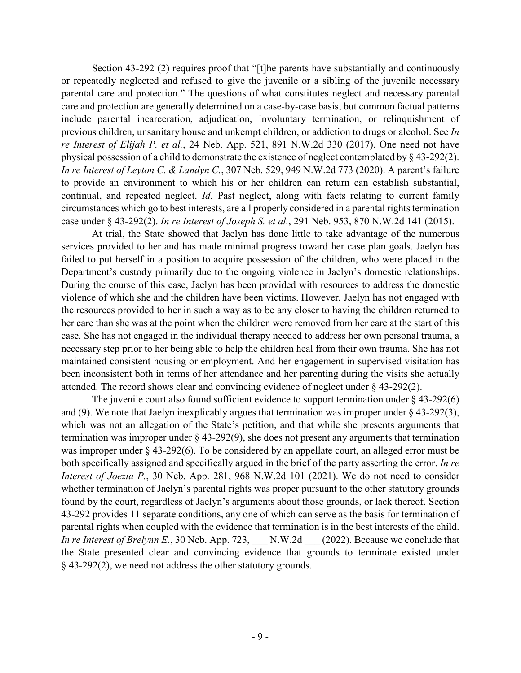Section 43-292 (2) requires proof that "[t]he parents have substantially and continuously or repeatedly neglected and refused to give the juvenile or a sibling of the juvenile necessary parental care and protection." The questions of what constitutes neglect and necessary parental care and protection are generally determined on a case-by-case basis, but common factual patterns include parental incarceration, adjudication, involuntary termination, or relinquishment of previous children, unsanitary house and unkempt children, or addiction to drugs or alcohol. See *In re Interest of Elijah P. et al.*, 24 Neb. App. 521, 891 N.W.2d 330 (2017). One need not have physical possession of a child to demonstrate the existence of neglect contemplated by § 43-292(2). *In re Interest of Leyton C. & Landyn C.*, 307 Neb. 529, 949 N.W.2d 773 (2020). A parent's failure to provide an environment to which his or her children can return can establish substantial, continual, and repeated neglect. *Id.* Past neglect, along with facts relating to current family circumstances which go to best interests, are all properly considered in a parental rights termination case under § 43-292(2). *In re Interest of Joseph S. et al.*, 291 Neb. 953, 870 N.W.2d 141 (2015).

At trial, the State showed that Jaelyn has done little to take advantage of the numerous services provided to her and has made minimal progress toward her case plan goals. Jaelyn has failed to put herself in a position to acquire possession of the children, who were placed in the Department's custody primarily due to the ongoing violence in Jaelyn's domestic relationships. During the course of this case, Jaelyn has been provided with resources to address the domestic violence of which she and the children have been victims. However, Jaelyn has not engaged with the resources provided to her in such a way as to be any closer to having the children returned to her care than she was at the point when the children were removed from her care at the start of this case. She has not engaged in the individual therapy needed to address her own personal trauma, a necessary step prior to her being able to help the children heal from their own trauma. She has not maintained consistent housing or employment. And her engagement in supervised visitation has been inconsistent both in terms of her attendance and her parenting during the visits she actually attended. The record shows clear and convincing evidence of neglect under § 43-292(2).

The juvenile court also found sufficient evidence to support termination under  $\S$  43-292(6) and (9). We note that Jaelyn inexplicably argues that termination was improper under  $\S$  43-292(3), which was not an allegation of the State's petition, and that while she presents arguments that termination was improper under § 43-292(9), she does not present any arguments that termination was improper under § 43-292(6). To be considered by an appellate court, an alleged error must be both specifically assigned and specifically argued in the brief of the party asserting the error. *In re Interest of Joezia P.*, 30 Neb. App. 281, 968 N.W.2d 101 (2021). We do not need to consider whether termination of Jaelyn's parental rights was proper pursuant to the other statutory grounds found by the court, regardless of Jaelyn's arguments about those grounds, or lack thereof. Section 43-292 provides 11 separate conditions, any one of which can serve as the basis for termination of parental rights when coupled with the evidence that termination is in the best interests of the child. *In re Interest of Brelynn E.*, 30 Neb. App. 723, N.W.2d (2022). Because we conclude that the State presented clear and convincing evidence that grounds to terminate existed under § 43-292(2), we need not address the other statutory grounds.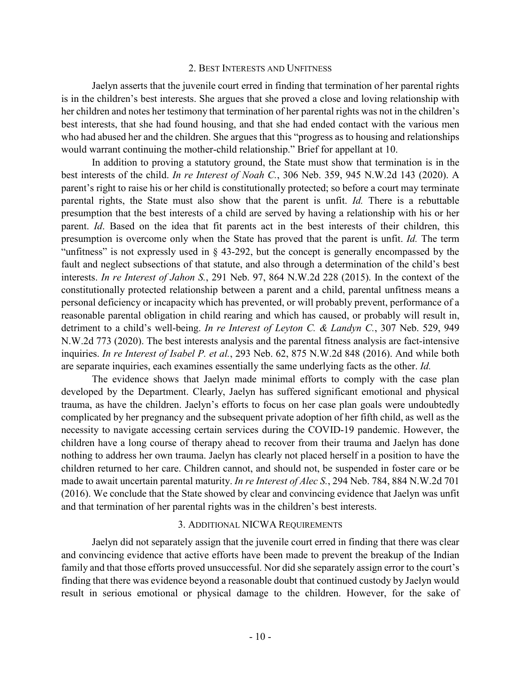### 2. BEST INTERESTS AND UNFITNESS

Jaelyn asserts that the juvenile court erred in finding that termination of her parental rights is in the children's best interests. She argues that she proved a close and loving relationship with her children and notes her testimony that termination of her parental rights was not in the children's best interests, that she had found housing, and that she had ended contact with the various men who had abused her and the children. She argues that this "progress as to housing and relationships would warrant continuing the mother-child relationship." Brief for appellant at 10.

In addition to proving a statutory ground, the State must show that termination is in the best interests of the child. *In re Interest of Noah C.*, 306 Neb. 359, 945 N.W.2d 143 (2020). A parent's right to raise his or her child is constitutionally protected; so before a court may terminate parental rights, the State must also show that the parent is unfit. *Id.* There is a rebuttable presumption that the best interests of a child are served by having a relationship with his or her parent. *Id*. Based on the idea that fit parents act in the best interests of their children, this presumption is overcome only when the State has proved that the parent is unfit. *Id.* The term "unfitness" is not expressly used in § 43-292, but the concept is generally encompassed by the fault and neglect subsections of that statute, and also through a determination of the child's best interests. *In re Interest of Jahon S.*, 291 Neb. 97, 864 N.W.2d 228 (2015). In the context of the constitutionally protected relationship between a parent and a child, parental unfitness means a personal deficiency or incapacity which has prevented, or will probably prevent, performance of a reasonable parental obligation in child rearing and which has caused, or probably will result in, detriment to a child's well-being. *In re Interest of Leyton C. & Landyn C.*, 307 Neb. 529, 949 N.W.2d 773 (2020). The best interests analysis and the parental fitness analysis are fact-intensive inquiries. *In re Interest of Isabel P. et al.*, 293 Neb. 62, 875 N.W.2d 848 (2016). And while both are separate inquiries, each examines essentially the same underlying facts as the other. *Id.*

The evidence shows that Jaelyn made minimal efforts to comply with the case plan developed by the Department. Clearly, Jaelyn has suffered significant emotional and physical trauma, as have the children. Jaelyn's efforts to focus on her case plan goals were undoubtedly complicated by her pregnancy and the subsequent private adoption of her fifth child, as well as the necessity to navigate accessing certain services during the COVID-19 pandemic. However, the children have a long course of therapy ahead to recover from their trauma and Jaelyn has done nothing to address her own trauma. Jaelyn has clearly not placed herself in a position to have the children returned to her care. Children cannot, and should not, be suspended in foster care or be made to await uncertain parental maturity. *In re Interest of Alec S.*, 294 Neb. 784, 884 N.W.2d 701 (2016). We conclude that the State showed by clear and convincing evidence that Jaelyn was unfit and that termination of her parental rights was in the children's best interests.

### 3. ADDITIONAL NICWA REQUIREMENTS

Jaelyn did not separately assign that the juvenile court erred in finding that there was clear and convincing evidence that active efforts have been made to prevent the breakup of the Indian family and that those efforts proved unsuccessful. Nor did she separately assign error to the court's finding that there was evidence beyond a reasonable doubt that continued custody by Jaelyn would result in serious emotional or physical damage to the children. However, for the sake of